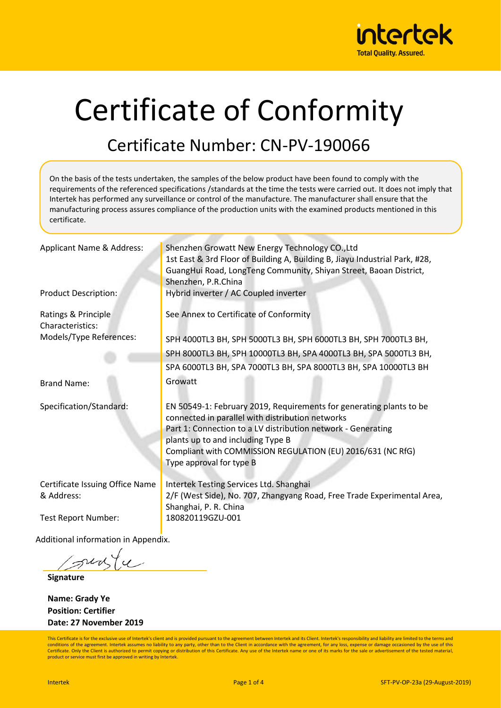

# Certificate of Conformity

#### Certificate Number: CN-PV-190066

Applicant Name & Address: Shenzhen Growatt New Energy Technology CO.,Ltd 1st East & 3rd Floor of Building A, Building B, Jiayu Industrial Park, #28, GuangHui Road, LongTeng Community, Shiyan Street, Baoan District, Shenzhen, P.R.China Product Description: Hybrid inverter / AC Coupled inverter Ratings & Principle Characteristics: See Annex to Certificate of Conformity Models/Type References: Brand Name: SPH 4000TL3 BH, SPH 5000TL3 BH, SPH 6000TL3 BH, SPH 7000TL3 BH, SPH 8000TL3 BH, SPH 10000TL3 BH, SPA 4000TL3 BH, SPA 5000TL3 BH, SPA 6000TL3 BH, SPA 7000TL3 BH, SPA 8000TL3 BH, SPA 10000TL3 BH Growatt Specification/Standard: EN 50549-1: February 2019, Requirements for generating plants to be connected in parallel with distribution networks Part 1: Connection to a LV distribution network - Generating plants up to and including Type B Compliant with COMMISSION REGULATION (EU) 2016/631 (NC RfG) Type approval for type B Certificate Issuing Office Name & Address: Intertek Testing Services Ltd. Shanghai 2/F (West Side), No. 707, Zhangyang Road, Free Trade Experimental Area, Shanghai, P. R. China Test Report Number: 180820119GZU-001 Additional information in Appendix. On the basis of the tests undertaken, the samples of the below product have been found to comply with the requirements of the referenced specifications /standards at the time the tests were carried out. It does not imply that Intertek has performed any surveillance or control of the manufacture. The manufacturer shall ensure that the manufacturing process assures compliance of the production units with the examined products mentioned in this certificate.

surfy

**Signature**

**Name: Grady Ye Position: Certifier Date: 27 November 2019**

This Certificate is for the exclusive use of Intertek's client and is provided pursuant to the agreement between Intertek and its Client. Intertek's responsibility and liability are limited to the terms and conditions of the agreement. Intertek assumes no liability to any party, other than to the Client in accordance with the agreement, for any loss, expense or damage occasioned by the use of this Certificate. Only the Client is authorized to permit copying or distribution of this Certificate. Any use of the Intertek name or one of its marks for the sale or advertisement of the tested material product or service must first be approved in writing by Intertek.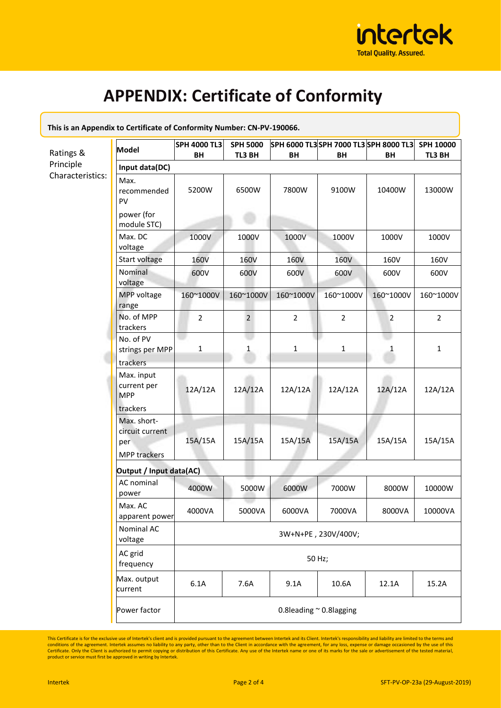

### **APPENDIX: Certificate of Conformity**

| This is an Appendix to Certificate of Comformity Number: CN-PV-190000. |                                                                          |                              |                 |                |                |                                      |                |  |  |
|------------------------------------------------------------------------|--------------------------------------------------------------------------|------------------------------|-----------------|----------------|----------------|--------------------------------------|----------------|--|--|
|                                                                        |                                                                          | <b>SPH 4000 TL3</b>          | <b>SPH 5000</b> |                |                | SPH 6000 TL3SPH 7000 TL3SPH 8000 TL3 | SPH 10000      |  |  |
| Ratings &<br>Principle<br>Characteristics:                             | <b>Model</b>                                                             | BH                           | TL3 BH          | BH             | BH             | <b>BH</b>                            | TL3 BH         |  |  |
|                                                                        | Input data(DC)                                                           |                              |                 |                |                |                                      |                |  |  |
|                                                                        | Max.<br>recommended<br>PV<br>power (for                                  | 5200W                        | 6500W           | 7800W          | 9100W          | 10400W                               | 13000W         |  |  |
|                                                                        | module STC)                                                              |                              |                 |                |                |                                      |                |  |  |
|                                                                        | Max. DC<br>voltage                                                       | 1000V                        | 1000V           | 1000V          | 1000V          | 1000V                                | 1000V          |  |  |
|                                                                        | Start voltage                                                            | <b>160V</b>                  | 160V            | 160V           | 160V           | 160V                                 | 160V           |  |  |
|                                                                        | Nominal<br>voltage                                                       | 600V                         | 600V            | 600V           | 600V           | 600V                                 | 600V           |  |  |
|                                                                        | MPP voltage<br>range                                                     | 160~1000V                    | 160~1000V       | 160~1000V      | 160~1000V      | 160~1000V                            | 160~1000V      |  |  |
|                                                                        | No. of MPP<br>trackers                                                   | $\overline{2}$               | $\overline{2}$  | $\overline{2}$ | $\overline{2}$ | $\overline{2}$                       | $\overline{2}$ |  |  |
|                                                                        | No. of PV<br>strings per MPP<br>trackers                                 | $\mathbf{1}$                 | $\mathbf{1}$    | $\mathbf{1}$   | $\mathbf{1}$   | 1                                    | $\mathbf{1}$   |  |  |
|                                                                        | Max. input<br>current per<br><b>MPP</b>                                  | 12A/12A                      | 12A/12A         | 12A/12A        | 12A/12A        | 12A/12A                              | 12A/12A        |  |  |
|                                                                        | trackers<br>Max. short-<br>circuit current<br>per<br><b>MPP trackers</b> | 15A/15A                      | 15A/15A         | 15A/15A        | 15A/15A        | 15A/15A                              | 15A/15A        |  |  |
|                                                                        | Output / Input data(AC)                                                  |                              |                 |                |                |                                      |                |  |  |
|                                                                        | AC nominal<br>power                                                      | 4000W                        | 5000W           | 6000W          | 7000W          | 8000W                                | 10000W         |  |  |
|                                                                        | Max. AC<br>apparent power                                                | 4000VA                       | 5000VA          | 6000VA         | 7000VA         | 8000VA                               | 10000VA        |  |  |
|                                                                        | Nominal AC<br>voltage                                                    | 3W+N+PE, 230V/400V;          |                 |                |                |                                      |                |  |  |
|                                                                        | AC grid<br>frequency                                                     | 50 Hz;                       |                 |                |                |                                      |                |  |  |
|                                                                        | Max. output<br>current                                                   | 6.1A                         | 7.6A            | 9.1A           | 10.6A          | 12.1A                                | 15.2A          |  |  |
|                                                                        | Power factor                                                             | 0.8leading $\sim$ 0.8lagging |                 |                |                |                                      |                |  |  |

**This is an Appendix to Certificate of Conformity Number: CN-PV-190066.** 

This Certificate is for the exclusive use of Intertek's client and is provided pursuant to the agreement between Intertek and its Client. Intertek's responsibility and liability are limited to the terms and conditions of t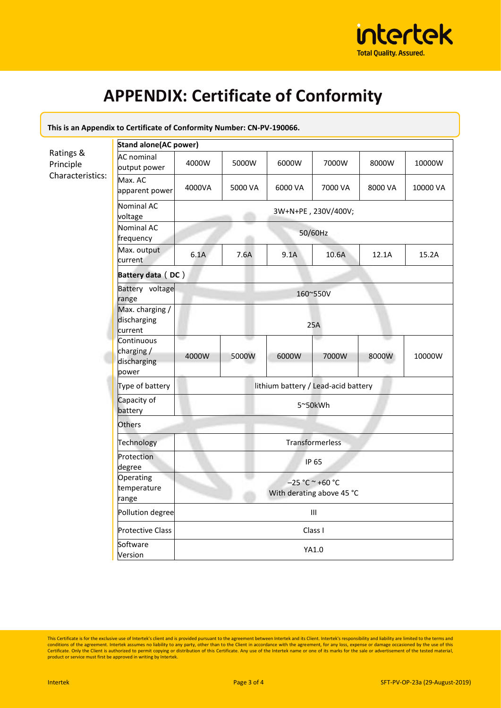

## **APPENDIX: Certificate of Conformity**

| This is an Appendix to Certificate of Conformity Number: CN-PV-190066. |                                                  |                                                |         |         |         |         |          |  |  |
|------------------------------------------------------------------------|--------------------------------------------------|------------------------------------------------|---------|---------|---------|---------|----------|--|--|
|                                                                        | <b>Stand alone (AC power)</b>                    |                                                |         |         |         |         |          |  |  |
| Ratings &<br>Principle<br>Characteristics:                             | <b>AC</b> nominal<br>output power                | 4000W                                          | 5000W   | 6000W   | 7000W   | 8000W   | 10000W   |  |  |
|                                                                        | Max. AC<br>apparent power                        | 4000VA                                         | 5000 VA | 6000 VA | 7000 VA | 8000 VA | 10000 VA |  |  |
|                                                                        | Nominal AC<br>voltage                            | 3W+N+PE, 230V/400V;                            |         |         |         |         |          |  |  |
|                                                                        | Nominal AC<br>frequency                          | 50/60Hz                                        |         |         |         |         |          |  |  |
|                                                                        | Max. output<br>current                           | 6.1A                                           | 7.6A    | 9.1A    | 10.6A   | 12.1A   | 15.2A    |  |  |
|                                                                        | Battery data (DC)                                |                                                |         |         |         |         |          |  |  |
|                                                                        | Battery voltage<br>range                         | 160~550V                                       |         |         |         |         |          |  |  |
|                                                                        | Max. charging /<br>discharging<br>current        | 25A                                            |         |         |         |         |          |  |  |
|                                                                        | Continuous<br>charging /<br>discharging<br>power | 4000W                                          | 5000W   | 6000W   | 7000W   | 8000W   | 10000W   |  |  |
|                                                                        | Type of battery                                  | lithium battery / Lead-acid battery            |         |         |         |         |          |  |  |
|                                                                        | Capacity of<br>battery                           | 5~50kWh                                        |         |         |         |         |          |  |  |
|                                                                        | <b>Others</b>                                    |                                                |         |         |         |         |          |  |  |
|                                                                        | Technology                                       | Transformerless                                |         |         |         |         |          |  |  |
|                                                                        | Protection<br>degree                             | <b>IP 65</b>                                   |         |         |         |         |          |  |  |
|                                                                        | Operating<br>temperature<br>range                | $-25 °C ~ +60 °C$<br>With derating above 45 °C |         |         |         |         |          |  |  |
|                                                                        | Pollution degree                                 | III                                            |         |         |         |         |          |  |  |
|                                                                        | <b>Protective Class</b>                          | Class I                                        |         |         |         |         |          |  |  |
|                                                                        | Software<br>Version                              | YA1.0                                          |         |         |         |         |          |  |  |

This Certificate is for the exclusive use of Intertek's client and is provided pursuant to the agreement between Intertek and its Client. Intertek's responsibility and liability are limited to the terms and conditions of t